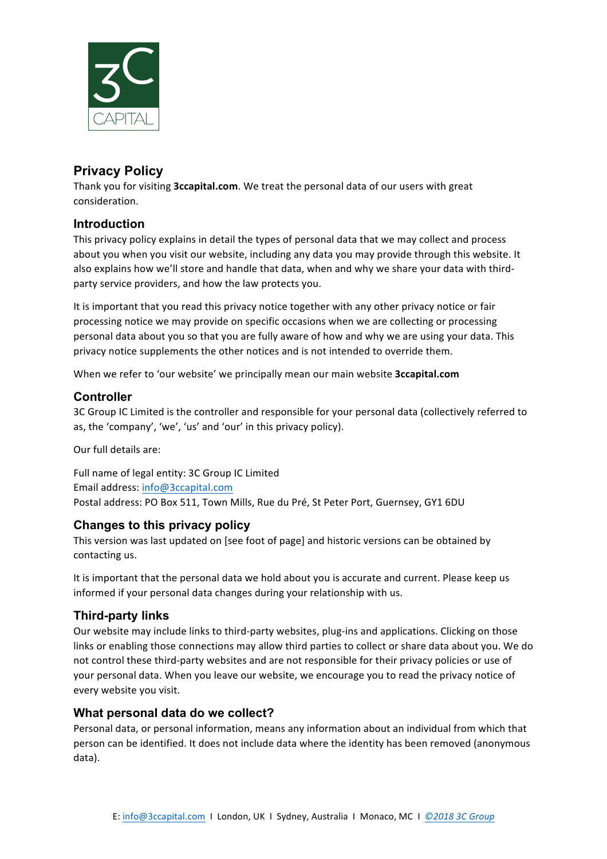

# **Privacy Policy**

Thank you for visiting **3ccapital.com**. We treat the personal data of our users with great consideration.

# **Introduction**

This privacy policy explains in detail the types of personal data that we may collect and process about you when you visit our website, including any data you may provide through this website. It also explains how we'll store and handle that data, when and why we share your data with thirdparty service providers, and how the law protects you.

It is important that you read this privacy notice together with any other privacy notice or fair processing notice we may provide on specific occasions when we are collecting or processing personal data about you so that you are fully aware of how and why we are using your data. This privacy notice supplements the other notices and is not intended to override them.

When we refer to 'our website' we principally mean our main website **3ccapital.com** 

### **Controller**

3C Group IC Limited is the controller and responsible for your personal data (collectively referred to as, the 'company', 'we', 'us' and 'our' in this privacy policy).

Our full details are:

Full name of legal entity: 3C Group IC Limited Email address: info@3ccapital.com Postal address: PO Box 511, Town Mills, Rue du Pré, St Peter Port, Guernsey, GY1 6DU

# **Changes to this privacy policy**

This version was last updated on [see foot of page] and historic versions can be obtained by contacting us.

It is important that the personal data we hold about you is accurate and current. Please keep us informed if your personal data changes during your relationship with us.

# **Third-party links**

Our website may include links to third-party websites, plug-ins and applications. Clicking on those links or enabling those connections may allow third parties to collect or share data about you. We do not control these third-party websites and are not responsible for their privacy policies or use of your personal data. When you leave our website, we encourage you to read the privacy notice of every website you visit.

# **What personal data do we collect?**

Personal data, or personal information, means any information about an individual from which that person can be identified. It does not include data where the identity has been removed (anonymous data).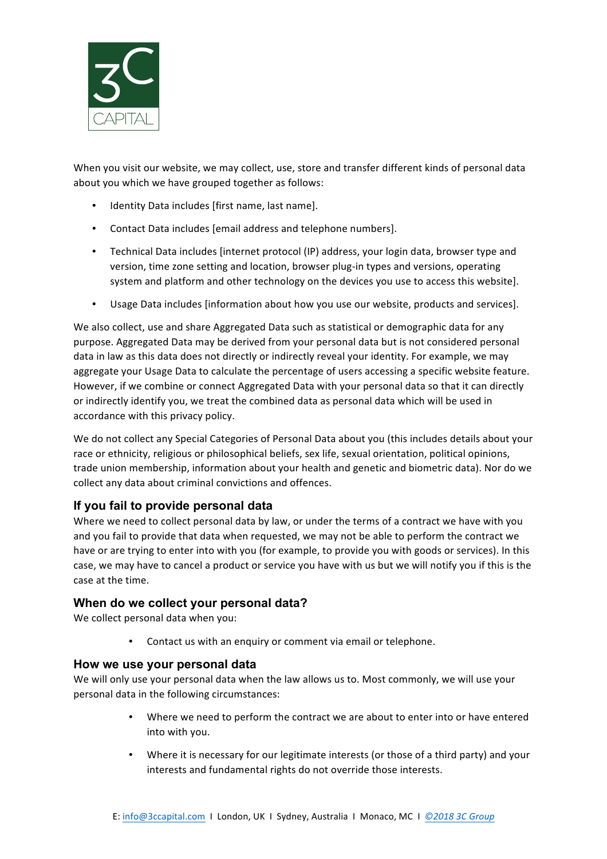

When you visit our website, we may collect, use, store and transfer different kinds of personal data about you which we have grouped together as follows:

- Identity Data includes [first name, last name].
- Contact Data includes [email address and telephone numbers].
- Technical Data includes [internet protocol (IP) address, your login data, browser type and version, time zone setting and location, browser plug-in types and versions, operating system and platform and other technology on the devices you use to access this website].
- Usage Data includes [information about how you use our website, products and services].

We also collect, use and share Aggregated Data such as statistical or demographic data for any purpose. Aggregated Data may be derived from your personal data but is not considered personal data in law as this data does not directly or indirectly reveal your identity. For example, we may aggregate your Usage Data to calculate the percentage of users accessing a specific website feature. However, if we combine or connect Aggregated Data with your personal data so that it can directly or indirectly identify you, we treat the combined data as personal data which will be used in accordance with this privacy policy.

We do not collect any Special Categories of Personal Data about you (this includes details about your race or ethnicity, religious or philosophical beliefs, sex life, sexual orientation, political opinions, trade union membership, information about your health and genetic and biometric data). Nor do we collect any data about criminal convictions and offences.

### **If you fail to provide personal data**

Where we need to collect personal data by law, or under the terms of a contract we have with you and you fail to provide that data when requested, we may not be able to perform the contract we have or are trying to enter into with you (for example, to provide you with goods or services). In this case, we may have to cancel a product or service you have with us but we will notify you if this is the case at the time.

#### **When do we collect your personal data?**

We collect personal data when you:

• Contact us with an enquiry or comment via email or telephone.

#### **How we use your personal data**

We will only use your personal data when the law allows us to. Most commonly, we will use your personal data in the following circumstances:

- Where we need to perform the contract we are about to enter into or have entered into with you.
- Where it is necessary for our legitimate interests (or those of a third party) and your interests and fundamental rights do not override those interests.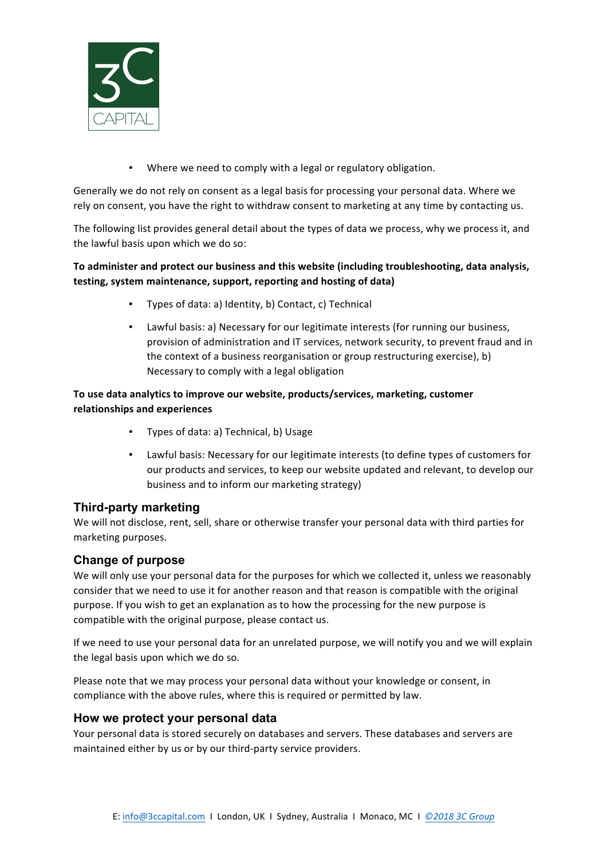

• Where we need to comply with a legal or regulatory obligation.

Generally we do not rely on consent as a legal basis for processing your personal data. Where we rely on consent, you have the right to withdraw consent to marketing at any time by contacting us.

The following list provides general detail about the types of data we process, why we process it, and the lawful basis upon which we do so:

#### To administer and protect our business and this website (including troubleshooting, data analysis, **testing, system maintenance, support, reporting and hosting of data)**

- Types of data: a) Identity, b) Contact, c) Technical
- Lawful basis: a) Necessary for our legitimate interests (for running our business, provision of administration and IT services, network security, to prevent fraud and in the context of a business reorganisation or group restructuring exercise), b) Necessary to comply with a legal obligation

#### To use data analytics to improve our website, products/services, marketing, customer **relationships and experiences**

- Types of data: a) Technical, b) Usage
- Lawful basis: Necessary for our legitimate interests (to define types of customers for our products and services, to keep our website updated and relevant, to develop our business and to inform our marketing strategy)

# **Third-party marketing**

We will not disclose, rent, sell, share or otherwise transfer your personal data with third parties for marketing purposes.

# **Change of purpose**

We will only use your personal data for the purposes for which we collected it, unless we reasonably consider that we need to use it for another reason and that reason is compatible with the original purpose. If you wish to get an explanation as to how the processing for the new purpose is compatible with the original purpose, please contact us.

If we need to use your personal data for an unrelated purpose, we will notify you and we will explain the legal basis upon which we do so.

Please note that we may process your personal data without your knowledge or consent, in compliance with the above rules, where this is required or permitted by law.

### **How we protect your personal data**

Your personal data is stored securely on databases and servers. These databases and servers are maintained either by us or by our third-party service providers.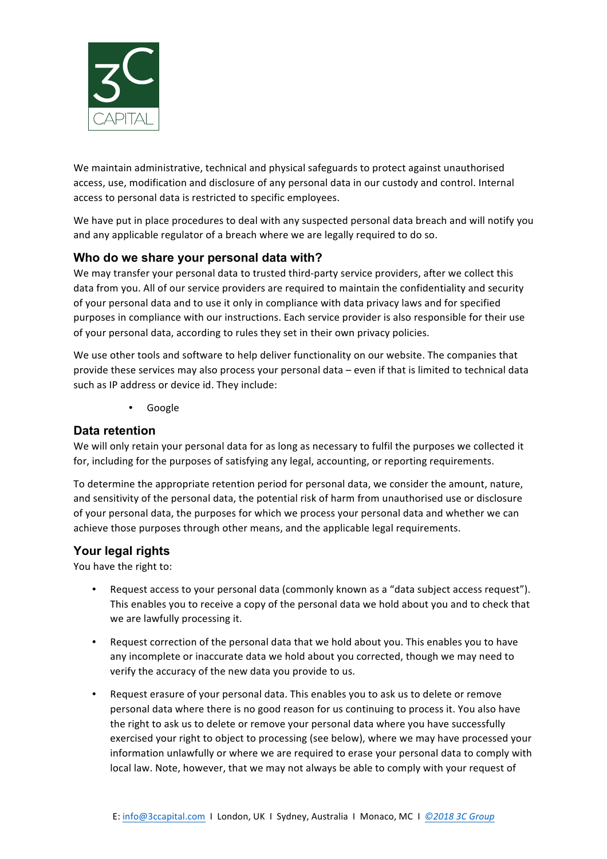

We maintain administrative, technical and physical safeguards to protect against unauthorised access, use, modification and disclosure of any personal data in our custody and control. Internal access to personal data is restricted to specific employees.

We have put in place procedures to deal with any suspected personal data breach and will notify you and any applicable regulator of a breach where we are legally required to do so.

### **Who do we share your personal data with?**

We may transfer your personal data to trusted third-party service providers, after we collect this data from you. All of our service providers are required to maintain the confidentiality and security of your personal data and to use it only in compliance with data privacy laws and for specified purposes in compliance with our instructions. Each service provider is also responsible for their use of your personal data, according to rules they set in their own privacy policies.

We use other tools and software to help deliver functionality on our website. The companies that provide these services may also process your personal data – even if that is limited to technical data such as IP address or device id. They include:

• Google

#### **Data retention**

We will only retain your personal data for as long as necessary to fulfil the purposes we collected it for, including for the purposes of satisfying any legal, accounting, or reporting requirements.

To determine the appropriate retention period for personal data, we consider the amount, nature, and sensitivity of the personal data, the potential risk of harm from unauthorised use or disclosure of your personal data, the purposes for which we process your personal data and whether we can achieve those purposes through other means, and the applicable legal requirements.

### **Your legal rights**

You have the right to:

- Request access to your personal data (commonly known as a "data subject access request"). This enables you to receive a copy of the personal data we hold about you and to check that we are lawfully processing it.
- Request correction of the personal data that we hold about you. This enables you to have any incomplete or inaccurate data we hold about you corrected, though we may need to verify the accuracy of the new data you provide to us.
- Request erasure of your personal data. This enables you to ask us to delete or remove personal data where there is no good reason for us continuing to process it. You also have the right to ask us to delete or remove your personal data where you have successfully exercised your right to object to processing (see below), where we may have processed your information unlawfully or where we are required to erase your personal data to comply with local law. Note, however, that we may not always be able to comply with your request of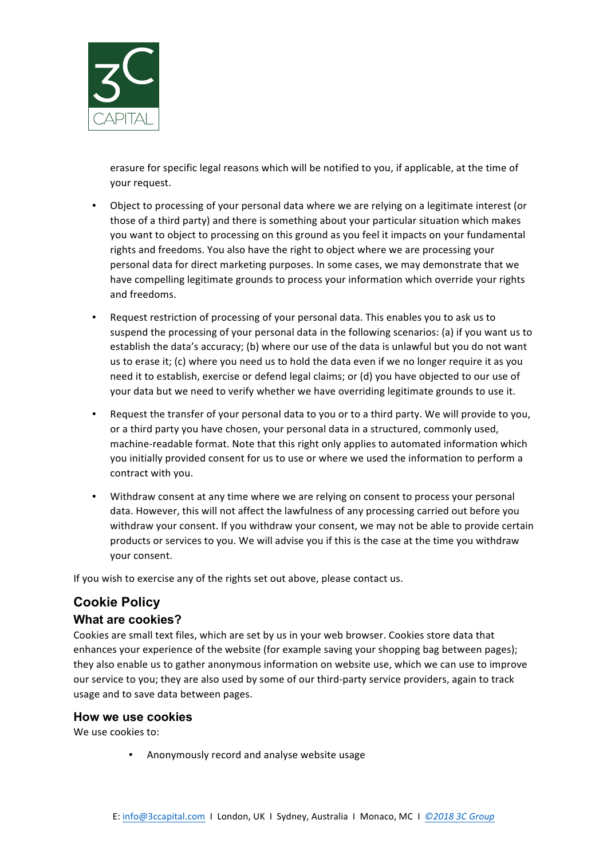

erasure for specific legal reasons which will be notified to you, if applicable, at the time of your request.

- Object to processing of your personal data where we are relying on a legitimate interest (or those of a third party) and there is something about your particular situation which makes you want to object to processing on this ground as you feel it impacts on your fundamental rights and freedoms. You also have the right to object where we are processing your personal data for direct marketing purposes. In some cases, we may demonstrate that we have compelling legitimate grounds to process your information which override your rights and freedoms.
- Request restriction of processing of your personal data. This enables you to ask us to suspend the processing of your personal data in the following scenarios: (a) if you want us to establish the data's accuracy; (b) where our use of the data is unlawful but you do not want us to erase it; (c) where you need us to hold the data even if we no longer require it as you need it to establish, exercise or defend legal claims; or (d) you have objected to our use of your data but we need to verify whether we have overriding legitimate grounds to use it.
- Request the transfer of your personal data to you or to a third party. We will provide to you, or a third party you have chosen, your personal data in a structured, commonly used, machine-readable format. Note that this right only applies to automated information which you initially provided consent for us to use or where we used the information to perform a contract with you.
- Withdraw consent at any time where we are relying on consent to process your personal data. However, this will not affect the lawfulness of any processing carried out before you withdraw your consent. If you withdraw your consent, we may not be able to provide certain products or services to you. We will advise you if this is the case at the time you withdraw vour consent.

If you wish to exercise any of the rights set out above, please contact us.

# **Cookie Policy**

### **What are cookies?**

Cookies are small text files, which are set by us in your web browser. Cookies store data that enhances your experience of the website (for example saving your shopping bag between pages); they also enable us to gather anonymous information on website use, which we can use to improve our service to you; they are also used by some of our third-party service providers, again to track usage and to save data between pages.

#### **How we use cookies**

We use cookies to:

• Anonymously record and analyse website usage